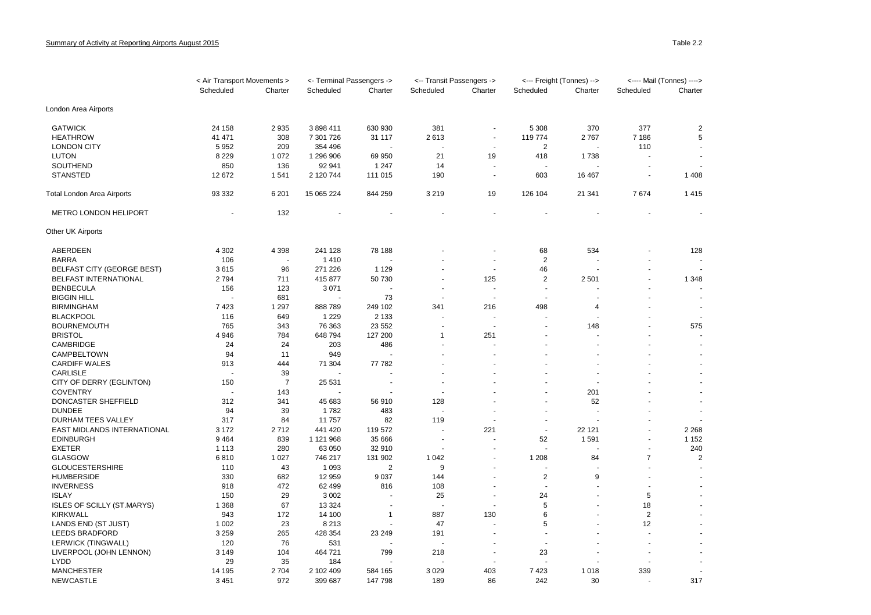|                                   | < Air Transport Movements > |                | <- Terminal Passengers -> |                | <-- Transit Passengers -> |                          | <--- Freight (Tonnes) --> |                      | <---- Mail (Tonnes) ----> |                          |
|-----------------------------------|-----------------------------|----------------|---------------------------|----------------|---------------------------|--------------------------|---------------------------|----------------------|---------------------------|--------------------------|
|                                   | Scheduled                   | Charter        | Scheduled                 | Charter        | Scheduled                 | Charter                  | Scheduled                 | Charter              | Scheduled                 | Charter                  |
| London Area Airports              |                             |                |                           |                |                           |                          |                           |                      |                           |                          |
| <b>GATWICK</b>                    | 24 158                      | 2935           | 3898411                   | 630 930        | 381                       |                          | 5 3 0 8                   | 370                  | 377                       | $\overline{2}$           |
| <b>HEATHROW</b>                   | 41 471                      | 308            | 7 301 726                 | 31 117         | 2613                      |                          | 119 774                   | 2767                 | 7 186                     | 5                        |
| <b>LONDON CITY</b>                | 5 9 5 2                     | 209            | 354 496                   |                |                           | $\overline{\phantom{a}}$ | $\overline{2}$            |                      | 110                       |                          |
| <b>LUTON</b>                      | 8 2 2 9                     | 1 0 7 2        | 1 296 906                 | 69 950         | 21                        | 19                       | 418                       | 1738                 |                           |                          |
| SOUTHEND                          | 850                         | 136            | 92 941                    | 1 2 4 7        | 14                        |                          |                           |                      |                           |                          |
| <b>STANSTED</b>                   | 12 672                      | 1541           | 2 120 744                 | 111 015        | 190                       |                          | 603                       | 16 4 67              | ÷,                        | 1408                     |
| Total London Area Airports        | 93 332                      | 6 2 0 1        | 15 065 224                | 844 259        | 3 2 1 9                   | 19                       | 126 104                   | 21 341               | 7674                      | 1415                     |
| METRO LONDON HELIPORT             |                             | 132            |                           |                |                           |                          |                           |                      |                           |                          |
| Other UK Airports                 |                             |                |                           |                |                           |                          |                           |                      |                           |                          |
| ABERDEEN                          | 4 3 0 2                     | 4 3 9 8        | 241 128                   | 78 188         |                           |                          | 68                        | 534                  |                           | 128                      |
| <b>BARRA</b>                      | 106                         |                | 1410                      |                |                           |                          | $\overline{2}$            |                      |                           |                          |
| <b>BELFAST CITY (GEORGE BEST)</b> | 3615                        | 96             | 271 226                   | 1 1 2 9        |                           | $\overline{a}$           | 46                        |                      | $\ddot{\phantom{1}}$      | $\sim$                   |
| BELFAST INTERNATIONAL             | 2794                        | 711            | 415 877                   | 50 730         |                           | 125                      | $\mathbf 2$               | 2501                 |                           | 1 3 4 8                  |
| <b>BENBECULA</b>                  | 156                         | 123            | 3 0 7 1                   |                |                           |                          | $\sim$                    |                      | ÷.                        |                          |
| <b>BIGGIN HILL</b>                |                             | 681            |                           | 73             |                           |                          |                           |                      |                           |                          |
| <b>BIRMINGHAM</b>                 | 7423                        | 1 2 9 7        | 888 789                   | 249 102        | 341                       | 216                      | 498                       | 4                    |                           |                          |
| <b>BLACKPOOL</b>                  | 116                         | 649            | 1 2 2 9                   | 2 1 3 3        |                           |                          |                           |                      |                           | $\overline{\phantom{a}}$ |
| <b>BOURNEMOUTH</b>                | 765                         | 343            | 76 363                    | 23 552         |                           |                          |                           | 148                  |                           | 575                      |
| <b>BRISTOL</b>                    | 4 9 4 6                     | 784            | 648 794                   | 127 200        | $\overline{1}$            | 251                      |                           |                      |                           |                          |
| CAMBRIDGE                         | 24                          | 24             | 203                       | 486            |                           |                          |                           |                      |                           |                          |
| CAMPBELTOWN                       | 94                          | 11             | 949                       |                |                           |                          |                           |                      |                           |                          |
| <b>CARDIFF WALES</b>              | 913                         | 444            | 71 304                    | 77 782         |                           |                          |                           |                      |                           |                          |
| <b>CARLISLE</b>                   |                             | 39             |                           |                |                           |                          |                           | $\ddot{\phantom{1}}$ |                           |                          |
|                                   |                             | $\overline{7}$ |                           |                |                           |                          |                           |                      |                           |                          |
| CITY OF DERRY (EGLINTON)          | 150                         |                | 25 531                    |                |                           |                          |                           |                      |                           |                          |
| <b>COVENTRY</b>                   |                             | 143            |                           |                |                           |                          |                           | 201                  |                           |                          |
| DONCASTER SHEFFIELD               | 312                         | 341            | 45 683                    | 56 910         | 128                       |                          |                           | 52                   |                           |                          |
| <b>DUNDEE</b>                     | 94                          | 39             | 1782                      | 483            |                           |                          |                           |                      |                           |                          |
| DURHAM TEES VALLEY                | 317                         | 84             | 11 757                    | 82             | 119                       |                          |                           |                      |                           |                          |
| EAST MIDLANDS INTERNATIONAL       | 3 1 7 2                     | 2712           | 441 420                   | 119 572        |                           | 221                      |                           | 22 121               |                           | 2 2 6 8                  |
| <b>EDINBURGH</b>                  | 9464                        | 839            | 1 121 968                 | 35 666         | $\overline{\phantom{a}}$  |                          | 52                        | 1591                 | $\blacksquare$            | 1 1 5 2                  |
| <b>EXETER</b>                     | 1 1 1 3                     | 280            | 63 050                    | 32 910         |                           |                          | $\sim$                    |                      | Ĭ.                        | 240                      |
| <b>GLASGOW</b>                    | 6810                        | 1 0 2 7        | 746 217                   | 131 902        | 1 0 4 2                   |                          | 1 2 0 8                   | 84                   | $\overline{7}$            | $\overline{2}$           |
| <b>GLOUCESTERSHIRE</b>            | 110                         | 43             | 1 0 9 3                   | $\overline{2}$ | 9                         |                          |                           |                      |                           |                          |
| <b>HUMBERSIDE</b>                 | 330                         | 682            | 12 959                    | 9037           | 144                       |                          | $\overline{2}$            | 9                    |                           |                          |
| <b>INVERNESS</b>                  | 918                         | 472            | 62 499                    | 816            | 108                       |                          |                           |                      |                           |                          |
| <b>ISLAY</b>                      | 150                         | 29             | 3 0 0 2                   | ä,             | 25                        |                          | 24                        | ÷                    | 5                         |                          |
| <b>ISLES OF SCILLY (ST.MARYS)</b> | 1 3 6 8                     | 67             | 13 3 24                   |                |                           |                          | 5                         |                      | 18                        |                          |
| <b>KIRKWALL</b>                   | 943                         | 172            | 14 100                    | 1              | 887                       | 130                      | 6                         |                      | $\overline{2}$            |                          |
| LANDS END (ST JUST)               | 1 0 0 2                     | 23             | 8 2 1 3                   |                | 47                        |                          | 5                         |                      | 12                        |                          |
| <b>LEEDS BRADFORD</b>             | 3 2 5 9                     | 265            | 428 354                   | 23 249         | 191                       |                          | $\sim$                    |                      |                           |                          |
| LERWICK (TINGWALL)                | 120                         | 76             | 531                       |                |                           |                          |                           |                      |                           |                          |
| LIVERPOOL (JOHN LENNON)           | 3 1 4 9                     | 104            | 464 721                   | 799            | 218                       |                          | 23                        |                      |                           |                          |
| <b>LYDD</b>                       | 29                          | 35             | 184                       |                |                           |                          |                           |                      |                           |                          |
| <b>MANCHESTER</b>                 | 14 195                      | 2704           | 2 102 409                 | 584 165        | 3 0 2 9                   | 403                      | 7423                      | 1018                 | 339                       | $\overline{\phantom{a}}$ |
| <b>NEWCASTLE</b>                  | 3 4 5 1                     | 972            | 399 687                   | 147 798        | 189                       | 86                       | 242                       | 30                   |                           | 317                      |